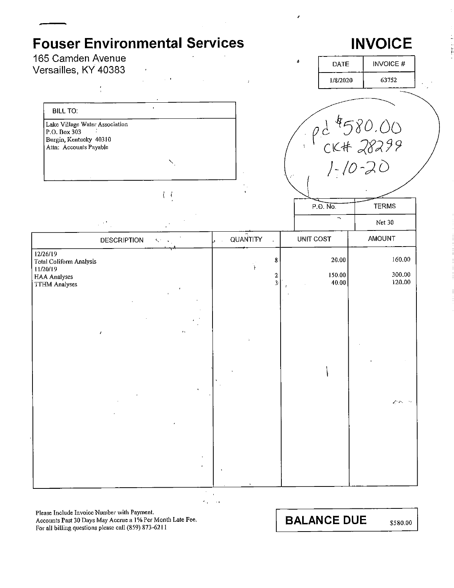

Please Include Invoice Number with Payment. Accounts Past 30 Days May Accrue a 1% Per Month Late Fee. For all billing questions please call (859) 873-6211

**BALANCE DUE** 

\$580.00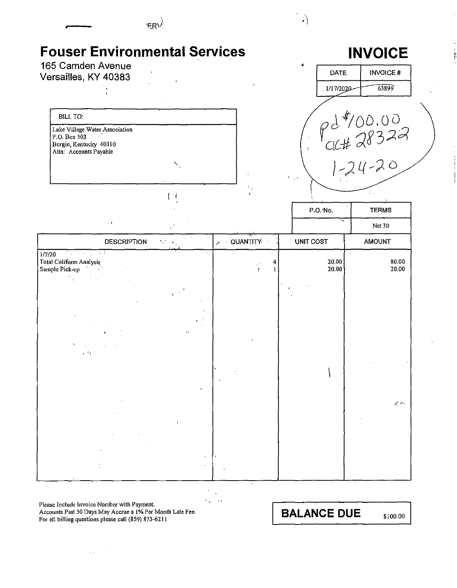| 'ER'                                                                                                                  |     |              |                |                                        |
|-----------------------------------------------------------------------------------------------------------------------|-----|--------------|----------------|----------------------------------------|
| <b>Fouser Environmental Services</b><br>165 Camden Avenue                                                             |     |              |                | <b>INVOICE</b>                         |
| Versailles, KY 40383                                                                                                  |     |              | <b>DATE</b>    | INVOICE#                               |
|                                                                                                                       |     |              | 1/17/2020      | 63899                                  |
|                                                                                                                       |     |              |                |                                        |
| <b>BILL TO:</b><br>Lake Village Water Association<br>P.O. Box 303<br>Burgin, Kentucky 40310<br>Attn: Accounts Payable |     |              |                | $Pd^{4}/00.00$<br>CIC#28322<br>1-24-20 |
|                                                                                                                       |     |              |                |                                        |
|                                                                                                                       |     |              | P.O. No.       | <b>TERMS</b>                           |
| $\cdot$ ,                                                                                                             |     |              |                | Net 30                                 |
| <b>DESCRIPTION</b>                                                                                                    | 5,7 | $>$ QUANTITY | UNIT COST      | <b>AMOUNT</b>                          |
| and the state of the<br>1/7/20<br>Total Coliform Analysis<br>Sample Pick-up<br>. .<br>$\mathcal{L}_{\rm{max}}$        |     |              | 20.00<br>20.00 | $\Delta$<br>80.00<br>20.00             |
| $\mathcal{C} \subset \mathcal{C}$ .                                                                                   |     |              |                | $\mathcal{L}(\mathcal{P})$             |
|                                                                                                                       |     |              |                |                                        |

τ

 $\frac{1}{m_{\chi}}\frac{1}{m_{\chi}}\frac{1}{m_{\chi}}\frac{1}{m_{\chi}}\frac{1}{m_{\chi}}\frac{1}{m_{\chi}}\frac{1}{m_{\chi}}\frac{1}{m_{\chi}}\frac{1}{m_{\chi}}\frac{1}{m_{\chi}}\frac{1}{m_{\chi}}\frac{1}{m_{\chi}}\frac{1}{m_{\chi}}\frac{1}{m_{\chi}}\frac{1}{m_{\chi}}\frac{1}{m_{\chi}}\frac{1}{m_{\chi}}\frac{1}{m_{\chi}}\frac{1}{m_{\chi}}\frac{1}{m_{\chi}}\frac{1}{m_{\chi}}\frac{1}{m_{\chi}}$ 

Please Include Invoice Number with Payment.<br>Accounts Past 30 Days May Accrue a 1% Per Month Late Fee.<br>For all billing questions please call (859) 873-6211

 $\Delta\Delta\phi_{\rm{eff}}=0.5$ 

 $\sim$ 

**BALANCE DUE**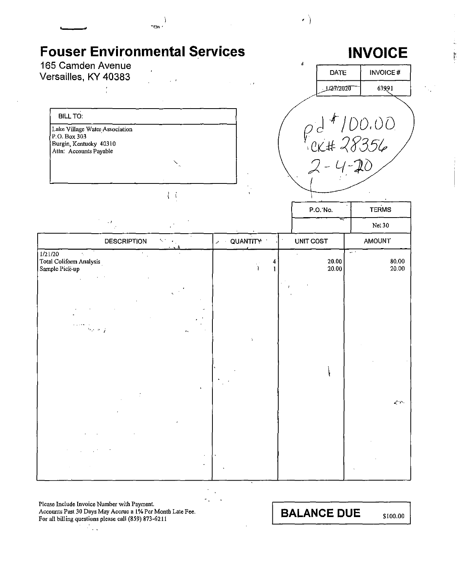| 165 Camden Avenue<br>Versailles, KY 40383<br><b>BILL TO:</b>          |                              |                         | ń         | <b>DATE</b>                            | <b>INVOICE#</b>               |
|-----------------------------------------------------------------------|------------------------------|-------------------------|-----------|----------------------------------------|-------------------------------|
|                                                                       |                              |                         |           |                                        |                               |
|                                                                       |                              |                         |           | 1 <i>1271</i> 2020                     | 63991                         |
|                                                                       |                              |                         |           |                                        |                               |
| Lake Village Water Association<br>P.O. Box 303                        |                              |                         |           |                                        | $\rho d * 100.00$<br>CK#28356 |
| Burgin, Kentucky 40310<br>Attn: Accounts Payable                      |                              |                         |           |                                        |                               |
|                                                                       |                              |                         |           |                                        |                               |
|                                                                       |                              |                         |           |                                        |                               |
|                                                                       | $\mathbf{R}$                 |                         |           |                                        | <b>TERMS</b>                  |
| $\cdot$ )                                                             |                              |                         | P.O. No.  |                                        | Net 30                        |
| <b>DESCRIPTION</b>                                                    | 51<br>$\mathbf{r}_{\rm{in}}$ | <b>DEAL AND A STATE</b> | UNIT COST |                                        | <b>AMOUNT</b>                 |
| 1/21/20<br>$\Delta \phi$<br>Total Coliform Analysis<br>Sample Pick-up |                              |                         |           | $\omega \rightarrow$<br>20.00<br>20.00 | 80.00<br>20.00                |
|                                                                       |                              |                         |           |                                        |                               |
|                                                                       |                              |                         |           |                                        |                               |
|                                                                       |                              |                         |           |                                        |                               |
| $\mathcal{H}_{\mathcal{C}}$ , and $\mathcal{G}$                       |                              | ÷.                      |           |                                        |                               |
|                                                                       |                              |                         |           |                                        |                               |
|                                                                       |                              |                         |           |                                        |                               |
|                                                                       | $\Lambda$                    |                         |           |                                        |                               |
|                                                                       |                              |                         |           |                                        | $\prec$ $\cdots$              |
|                                                                       |                              |                         |           |                                        |                               |
|                                                                       |                              |                         |           |                                        |                               |
|                                                                       |                              |                         |           |                                        |                               |

 $\mathcal{O}_{\mathcal{A}}$ 

 $\mathbf{r}$  .

 $\overline{\phantom{a}}$ 

Please Include Invoice Number with Payment.<br>Accounts Past 30 Days May Accrue a 1% Per Month Late Fee.<br>For all billing questions please call (859) 873-6211

**BALANCE DUE** 

 $\left\{ \cdot \right\}$ 

\$100.00

ЦÝ.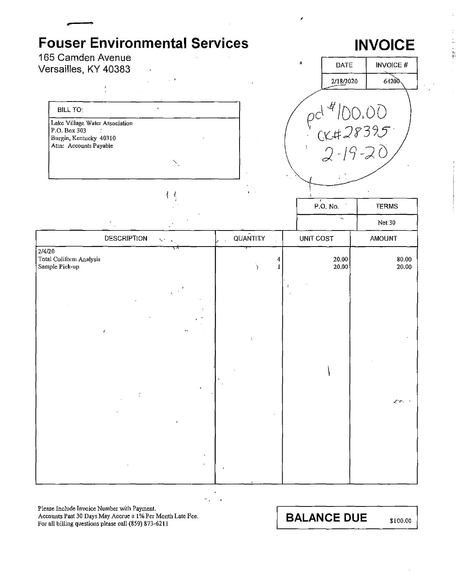### **Fouser Environmental Services** 165 Camden Avenue

 $\bar{e}$ 

Versailles, KY 40383

# **INVOICE**

**TERMS** 

 $\ddot{\phantom{a}}$ **BILL TO:** Lake Village Water Association P.O. Box 303 Burgin, Kentucky 40310 Attn: Accounts Payable

 $\left\{ \right\}$ 



P.O. No.

|                                                     | $\mathsf{J}$                         |                | ∼              | Net 30                                 |
|-----------------------------------------------------|--------------------------------------|----------------|----------------|----------------------------------------|
|                                                     | <b>DESCRIPTION</b><br>$S^{\mu\nu}$ . | QUANTITY<br>s. | UNIT COST      | AMOUNT                                 |
| 2/4/20<br>Total Coliform Analysis<br>Sample Pick-up | ↸                                    |                | 20.00<br>20.00 | 80.00<br>20.00                         |
|                                                     |                                      |                | $\mathbf{r}$   |                                        |
|                                                     |                                      |                |                |                                        |
|                                                     | $\mathbf{r}$<br>$\cdot$              |                |                |                                        |
|                                                     | $\bullet$                            |                |                |                                        |
|                                                     |                                      |                |                | $\mathcal{L}(\mathcal{V})=\mathcal{V}$ |
|                                                     |                                      |                |                |                                        |
|                                                     |                                      |                |                |                                        |
|                                                     |                                      |                |                |                                        |

 $\mathbf{r}$ 

 $\sim$  $\mathbf{r}$  $\ddotsc$  $\sim$  .

Please Include Invoice Number with Payment.

Accounts Past 30 Days May Accrue a 1% Per Month Late Fee. For all billing questions please call (859) 873-6211

**BALANCE DUE**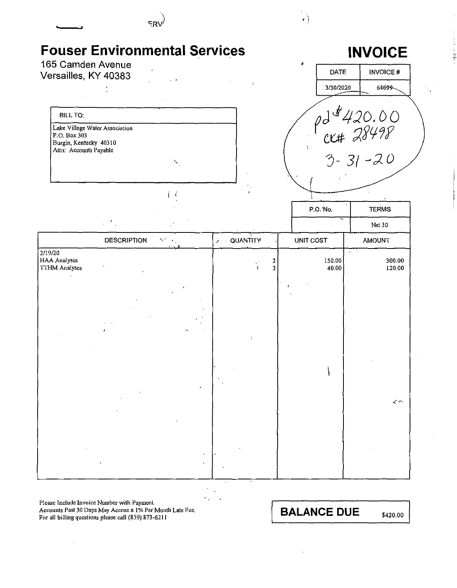

**Please Include Invoice Number with Payment. Accounts Past 30 Days May Accrue a 1 % Per Month Late Fee.**  For all billing questions please call (859) 873-6211

**BALANCE DUE** \$420.00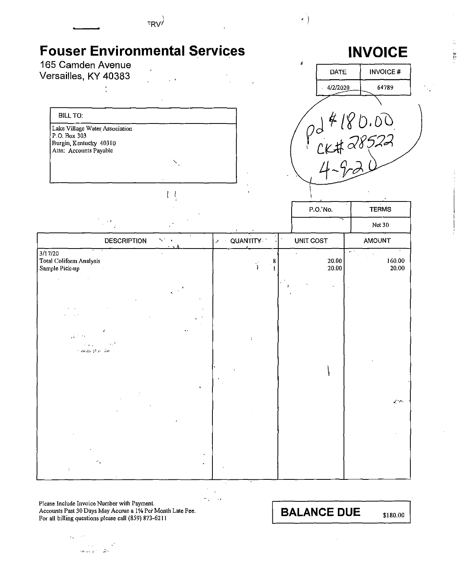

 $\hat{\mathbf{r}}$  $\mathbf{r}$  $\sigma_{\rm{in}}$  $\sim$  1

Please Include Invoice Number with Payment. Accounts Past 30 Days May Accrue a 1% Per Month Late Fee. For all billing questions please call (859) 873-6211

 $\mathfrak{g}_{\mathbf{A}} = \mathfrak{g}(\mathfrak{e})$ 

 $\sim 100$  km s  $^{-1}$ and superior dec **BALANCE DUE** 

\$180.00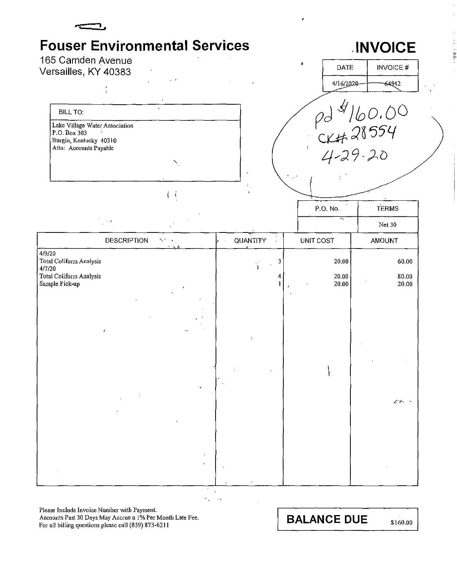

## **INVOICE**

| 165 Camden Avenue                                                                               |                                                     |                       |                  |                         |                                                                                                                  |
|-------------------------------------------------------------------------------------------------|-----------------------------------------------------|-----------------------|------------------|-------------------------|------------------------------------------------------------------------------------------------------------------|
| Versailles, KY 40383                                                                            |                                                     |                       | ú                | DATE                    | <b>INVOICE#</b>                                                                                                  |
|                                                                                                 |                                                     |                       |                  | 4/16/2020-              | 64942                                                                                                            |
| <b>BILL TO:</b>                                                                                 |                                                     |                       |                  |                         |                                                                                                                  |
| Lake Village Water Association<br>P.O. Box 303<br>Burgin, Kentucky 40310                        |                                                     |                       |                  |                         |                                                                                                                  |
| Attn: Accounts Payable                                                                          | N,                                                  |                       |                  |                         | $\begin{array}{r} \rho d \n\frac{d}{d}  b \rho.00 \rangle \\ \n\alpha + 28554 \\ \n\alpha + 29.20 \n\end{array}$ |
|                                                                                                 | $\mathfrak{t}$<br>ŧ                                 |                       |                  |                         |                                                                                                                  |
|                                                                                                 |                                                     |                       | P.O. No.         |                         | <b>TERMS</b>                                                                                                     |
| $\chi \rightarrow 0$                                                                            |                                                     |                       |                  |                         | Net 30                                                                                                           |
| <b>DESCRIPTION</b>                                                                              | $\mathcal{N}^{\text{R}}$ , $\mathcal{N}^{\text{R}}$ | QUANTITY <sup>*</sup> | <b>UNIT COST</b> |                         | <b>AMOUNT</b>                                                                                                    |
| 4/9/20<br><b>Total Coliform Analysis</b><br>4/7/20<br>Total Coliform Analysis<br>Sample Pick-up |                                                     | 3<br>4                |                  | 20.00<br>20.00<br>20.00 | 60.00<br>80.00<br>20.00                                                                                          |
| $\pmb{\prime}$                                                                                  |                                                     | ÷                     |                  |                         |                                                                                                                  |
|                                                                                                 |                                                     |                       |                  |                         |                                                                                                                  |
|                                                                                                 |                                                     |                       |                  |                         | $\mathcal{L}(\mathcal{F})$                                                                                       |

 $\ddot{\phantom{a}}$ k,  $\sim$   $\sim$ 

Please Include Invoice Number with Payment.<br>Accounts Past 30 Days May Accrue a 1% Per Month Late Fee. For all billing questions please call (859) 873-6211

**BALANCE DUE** 

\$160.00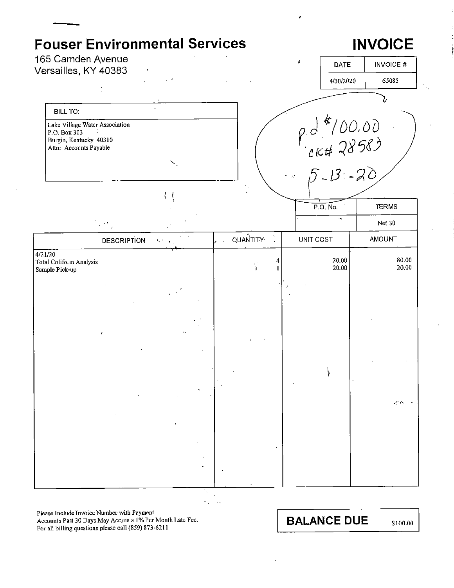### **Fouser Environmental Services INVOICE** 165 Camden Avenue **DATE INVOICE#** Versailles, KY 40383 4/30/2020 65085 **BILL TO:**  $924/00.00$ <br>  $6428583$ <br>  $5-13-20$ Lake Village Water Association P.O. Box 303 Burgin, Kentucky 40310 Attn: Accounts Payable  $l^+l$ P.O. No. **TERMS** Net 30 QUANTITY<sup>.</sup> **AMOUNT DESCRIPTION UNIT COST** K.  $4/21/20$ 80.00 20.00 Total Coliform Analysis 20.00 20.00 Sample Pick-up

Please Include Invoice Number with Payment. Accounts Past 30 Days May Accrue a 1% Per Month Late Fee. For all billing questions please call (859) 873-6211

**BALANCE DUE**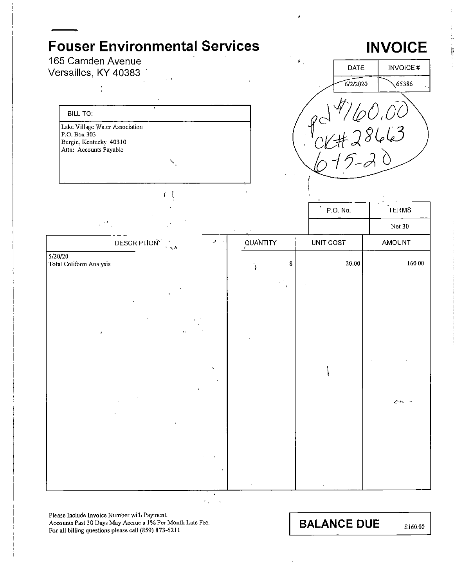### **Fouser Environmental Services** 165 Camden Avenue

### **INVOICE**



**BILL TO:** Lake Village Water Association P.O. Box 303 Burgin, Kentucky 40310 Attn: Accounts Payable

 $\left\langle -\right\rangle$ 

Versailles, KY 40383

|                                                                                       |              | P.O. No.  | <b>IERMS</b>   |
|---------------------------------------------------------------------------------------|--------------|-----------|----------------|
| $\sim 10^{11}$                                                                        |              |           | Net 30         |
| DESCRIPTION <sup>1</sup><br>$\mathcal{P} \rightarrow$<br>$\gamma$ $\propto$ $\lambda$ | QUANTITY     | UNIT COST | AMOUNT         |
| 5/20/20<br>Total Coliform Analysis                                                    | $\bf 8$      | $20.00\,$ | 160.00         |
| $\pmb{\gamma}_i$                                                                      | $\mathbf{r}$ |           |                |
|                                                                                       |              |           |                |
| $\mathbf{r}_{\mathbf{A}}$<br>$\pmb{\epsilon}$                                         | ÷            |           |                |
| x                                                                                     |              |           |                |
|                                                                                       |              |           | イヘ<br>$\sim$ . |
|                                                                                       |              |           |                |
|                                                                                       |              |           |                |
|                                                                                       |              |           |                |

Please Include Invoice Number with Payment. Accounts Past 30 Days May Accrue a 1% Per Month Late Fee. For all billing questions please call (859) 873-6211

**BALANCE DUE** 

\$160.00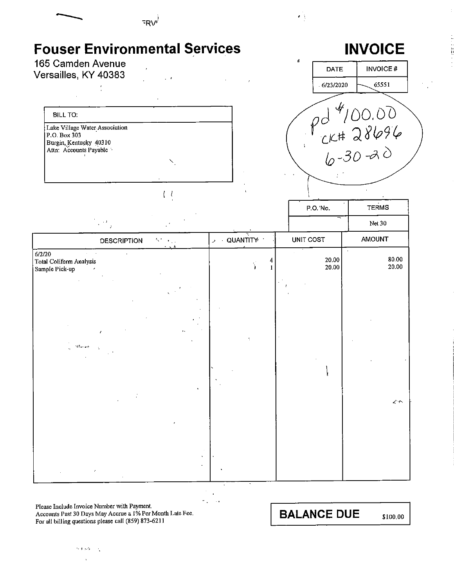

**Please Include Invoice Number with Payment. Accounts Past 30 Days May Accrue a 1 % Per Month Late Fee.**  For all billing questions please call (859) 873-6211

> $\sim 4$  and  $\mathcal{A}_1$

**BALANCE DUE** \$100.00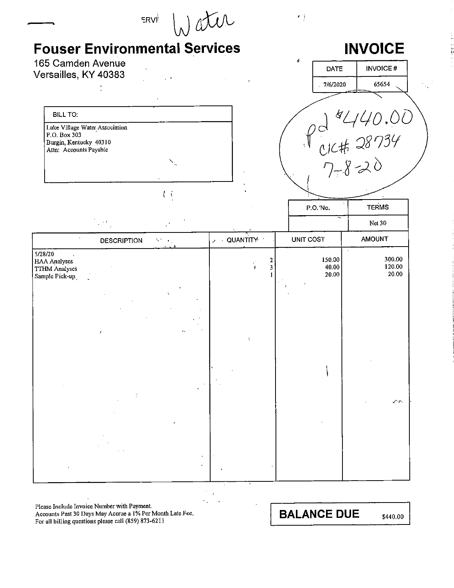|                                                   | <b>Fouser Environmental Services</b> |        |     |                 |                          | <b>INVOICE</b>                     |
|---------------------------------------------------|--------------------------------------|--------|-----|-----------------|--------------------------|------------------------------------|
| 165 Camden Avenue                                 |                                      |        |     |                 | ė<br><b>DATE</b>         | <b>INVOICE#</b>                    |
| Versailles, KY 40383                              |                                      |        |     |                 | 7/6/2020                 | 65654                              |
|                                                   |                                      |        |     |                 |                          |                                    |
| <b>BILL TO:</b><br>Lake Village Water Association |                                      |        |     |                 |                          |                                    |
| P.O. Box 303<br>Burgin, Kentucky 40310            |                                      |        |     |                 |                          |                                    |
| Attn: Accounts Payable                            |                                      |        |     |                 |                          |                                    |
|                                                   |                                      |        |     |                 |                          | pd 1440.00<br>elct 28734<br>7-8-20 |
|                                                   |                                      | して     |     |                 |                          |                                    |
|                                                   |                                      |        |     |                 | P.O.'No.                 | <b>TERMS</b>                       |
|                                                   |                                      |        |     |                 |                          | Net 30                             |
| 5/28/20                                           | <b>DESCRIPTION</b>                   | St. Gr | ا د | <b>QUANTITY</b> | UNIT COST                | <b>AMOUNT</b><br>$\sim$            |
| <b>HAA Analyses</b><br><b>TTHM Analyses</b>       |                                      |        |     | 2<br>3          | 150.00<br>40.00<br>20.00 | 300.00<br>120.00<br>20.00          |
| Sample Pick-up.                                   |                                      |        |     |                 |                          |                                    |
|                                                   |                                      |        |     |                 |                          |                                    |
|                                                   |                                      |        |     |                 |                          |                                    |
|                                                   | $\mathcal{L}_{\mathcal{A}}$          |        |     |                 |                          |                                    |
|                                                   |                                      |        |     |                 |                          |                                    |
|                                                   |                                      |        |     |                 |                          |                                    |
|                                                   |                                      |        |     |                 |                          |                                    |
|                                                   |                                      |        |     |                 |                          | ٦r٠.                               |
|                                                   |                                      |        |     |                 |                          |                                    |
|                                                   |                                      |        |     |                 |                          |                                    |
|                                                   |                                      |        |     |                 |                          |                                    |
|                                                   |                                      |        |     |                 |                          |                                    |

 $\hat{\mathcal{E}}$  $\ddot{\phantom{a}}$  $\hat{\theta}_{\rm eff}$  $\bar{\mathcal{A}}$ 

Please Include Invoice Number with Payment.<br>Accounts Past 30 Days May Accrue a 1% Per Month Late Fee.<br>For all billing questions please call (859) 873-6211

**BALANCE DUE** 

\$440.00

 $\bar{z}$ 

tempt of the control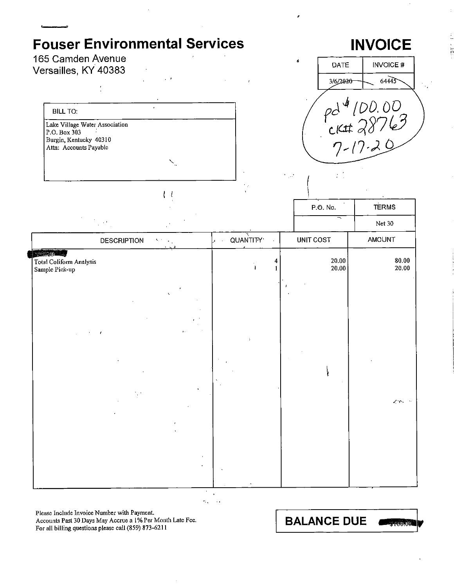### 165 Camden Avenue Versailles, KY 40383





 $\left\langle -l\right\rangle$ 

|                                                                              |                                                    | P.O. No.                                       | <b>TERMS</b>                          |
|------------------------------------------------------------------------------|----------------------------------------------------|------------------------------------------------|---------------------------------------|
| $\sim$ 10 $^{\circ}$                                                         |                                                    |                                                | Net 30                                |
| DESCRIPTION<br>$\mathbf{V}_1$ to $\mathbf{V}_2$ .<br>$\cdot$ $\cdot$ $\cdot$ | QUANTITY <sup>.</sup><br>$\mathbf{y} = \mathbf{y}$ | UNIT COST                                      | AMOUNT                                |
| 25/03/20 - 20<br>Total Coliform Analysis<br>Sample Pick-up                   | 4<br>$\ddot{\phantom{1}}$                          | $\begin{bmatrix} 20.00 \\ 20.00 \end{bmatrix}$ | 80.00<br>20.00                        |
|                                                                              |                                                    |                                                |                                       |
|                                                                              |                                                    |                                                |                                       |
| $\mathbf{r}$ .                                                               |                                                    |                                                |                                       |
|                                                                              | ÷                                                  |                                                |                                       |
|                                                                              |                                                    |                                                |                                       |
|                                                                              |                                                    |                                                |                                       |
|                                                                              |                                                    |                                                | $Z^{\mu} \mathcal{D} \nu \rightarrow$ |
|                                                                              |                                                    |                                                |                                       |
|                                                                              |                                                    |                                                |                                       |
| $\bullet$                                                                    |                                                    |                                                |                                       |

k,  $\sim$ 

Please Include Invoice Number with Payment. Accounts Past 30 Days May Accrue a 1% Per Month Late Fee. For all billing questions please call (859) 873-6211

**BALANCE DUE** 3-100.00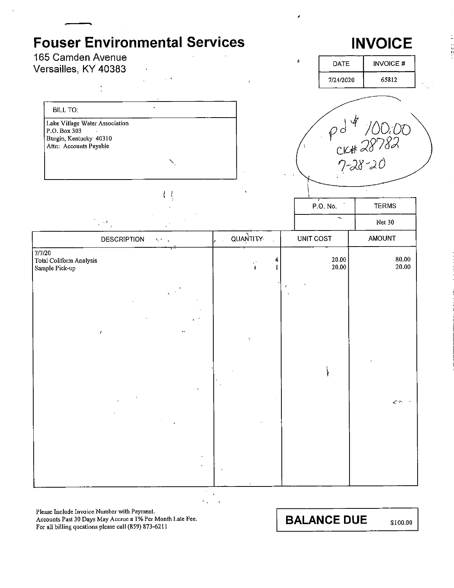### **Fouser Environmental Services**  165 Camden Avenue Versailles, KY 40383 BILL TO: **Lake Village Water Association**  P.O. Box303 **Burgin, Kentucky 40310 Attn: Accounts Payable**  ' I I ., ' QUANTITY. DESCRIPTION • + .. 7/7/20 **Total Coliform Analysis Sample Pick-up**  $\epsilon$  . The set of the set of the set of the set of the set of the set of the set of the set of the set of the set of the set of the set of the set of the set of the set of the set of the set of the set of the set of the s I 4 1 **INVOICE**  DATE | INVOICE # 7/2412020 65812  $\sim \rho d^{4}$  /00.00<br> $C$ KH 28782 r;~J.'6~ *)0*   $\overline{\phantom{1}}$ P.O. No. TERMS Net 30 UNIT COST | AMOUNT  $\begin{array}{c|c} 20.00 & 80.00 \\ 20.00 & 20.00 \end{array}$ 20.00 20.00 '  $\vert$ *.t\_"-r-,*

**Please Include Invoice Number with Payment.** 

**Accounts Past 30 Days May Accrne a 1 % Per Month Late Fee.**  For all billing questions please call (859) 873-6211

**BALANCE DUE** \$100.00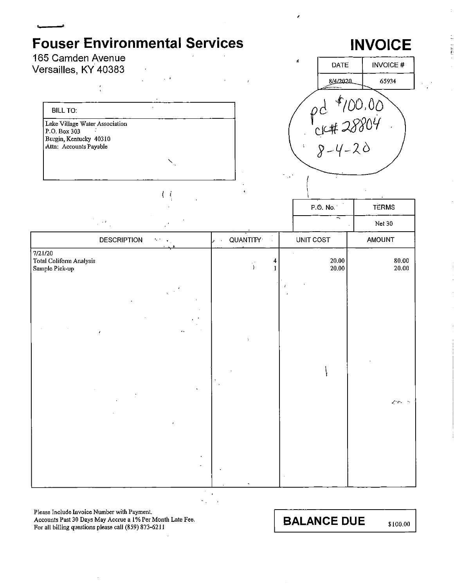### 165 Camden Avenue Versailles, KY 40383



 $\left\{ \right.$ 



|                                                                |                                                                        | P.O. No.                 | <b>TERMS</b>                           |
|----------------------------------------------------------------|------------------------------------------------------------------------|--------------------------|----------------------------------------|
| $\epsilon$ )                                                   |                                                                        | $\overline{\phantom{1}}$ | Net $30$                               |
| <b>DESCRIPTION</b><br>$\mathbf{S}(\mathbf{r})$<br>$\mathbf{u}$ | <b>QUANTITY</b><br>$\mathcal{A}$<br>ا د<br>$\mathcal{L}^{\mathcal{L}}$ | UNIT COST                | AMOUNT                                 |
| 7/21/20<br>Total Coliform Analysis<br>Sample Pick-up           | 4<br>Ý<br>1                                                            | 20,00<br>20.00           | 80.00<br>20.00                         |
|                                                                |                                                                        |                          |                                        |
|                                                                |                                                                        |                          |                                        |
| $\mathbf{r}$ .<br>$\mathcal{F}$                                | ÷                                                                      |                          |                                        |
|                                                                |                                                                        |                          |                                        |
|                                                                |                                                                        |                          |                                        |
|                                                                |                                                                        |                          | $\mathcal{L}(\mathcal{P}) \rightarrow$ |
|                                                                |                                                                        |                          |                                        |
|                                                                |                                                                        |                          |                                        |
|                                                                | $\bullet$                                                              |                          |                                        |
|                                                                |                                                                        |                          |                                        |

Please Include Invoice Number with Payment. Accounts Past 30 Days May Accrue a 1% Per Month Late Fee. For all billing questions please call (859) 873-6211

**BALANCE DUE** 

# **INVOICE**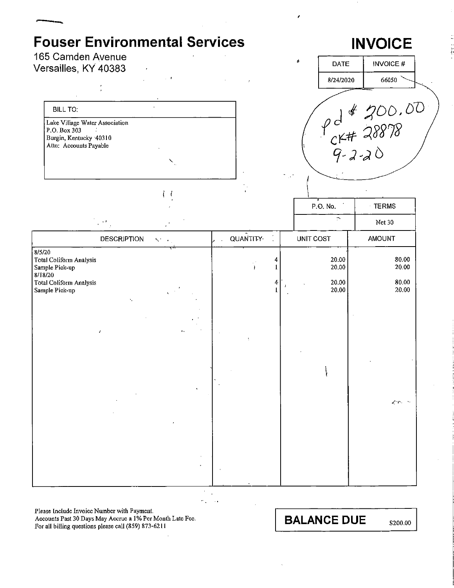**INVOICE** 

Versailles, KY 40383

165 Camden Avenue



 $l - l$ 



|                                                                                           |                               |                                   |   | P.O. No.                | TERMS                       |
|-------------------------------------------------------------------------------------------|-------------------------------|-----------------------------------|---|-------------------------|-----------------------------|
|                                                                                           | $\sim$                        |                                   |   | $\mathbb{P}$            | Net 30                      |
|                                                                                           | <b>DESCRIPTION</b><br>Stores. | <b>QUANTITY</b><br>$\overline{a}$ |   | UNIT COST               | AMOUNT                      |
| 8/5/20<br>Total Coliform Analysis<br>Sample Pick-up<br>8/18/20<br>Total Coliform Analysis |                               | 4<br>V,<br>$\rightarrow$<br>4     |   | 20.00<br>20.00<br>20.00 | 80.00<br>20.00<br>80.00     |
| Sample Pick-up                                                                            | ۰.                            |                                   | U | 20.00                   | 20.00                       |
|                                                                                           | $\mathbf{r}$ .<br>$\lambda$   |                                   |   |                         |                             |
|                                                                                           |                               |                                   |   |                         |                             |
|                                                                                           |                               |                                   |   |                         | $Z^{\alpha}(\mathcal{P})=0$ |
|                                                                                           |                               |                                   |   |                         |                             |

 $\ddot{\phantom{a}}$  $\mathbb{Z}_2$  $\ddotsc$ 

**Please Include Invoice Number with Payment.** 

**Accounts Past 30 Days May Accrue a I% Per Month Late Fee.**  For all billing questions please call (859) 873-6211

**BALANCE DUE** \$200.00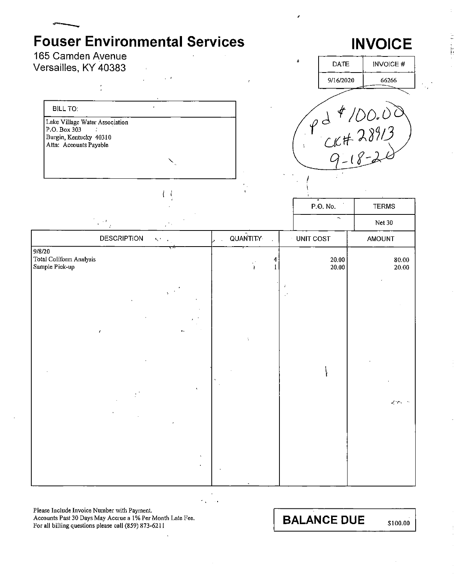# **INVOICE**

165 Camden Avenue Versailles, KY 40383

**BILL TO:** 

Lake Village Water Association<br>P.O. Box 303 Burgin, Kentucky 40310 Attn: Accounts Payable



|                                                     |                               |                                                           | $\bar{\mathbf{t}}$ |                   |                          |                    |
|-----------------------------------------------------|-------------------------------|-----------------------------------------------------------|--------------------|-------------------|--------------------------|--------------------|
|                                                     |                               |                                                           |                    |                   | P.O. No.                 | <b>TERMS</b>       |
|                                                     | $\mathbf{r} \in \mathbb{R}^3$ | $\mathcal{F}_0$                                           |                    |                   | $\overline{\phantom{a}}$ | Net 30             |
|                                                     | <b>DESCRIPTION</b>            | $\mathcal{S}_{\mathcal{A}}$ , $\mathcal{S}_{\mathcal{A}}$ | <b>QUANTITY</b>    |                   | $\cdot$ UNIT COST        | <b>AMOUNT</b>      |
| 9/8/20<br>Total Coliform Analysis<br>Sample Pick-up |                               |                                                           | Y.                 | 4<br>$\mathbf{I}$ | 20.00<br>20.00           | 80.00<br>20.00     |
|                                                     |                               |                                                           |                    |                   |                          |                    |
|                                                     |                               |                                                           |                    |                   |                          |                    |
|                                                     | $\mathcal{E}$                 | $\ddot{\phantom{a}}$                                      |                    |                   |                          |                    |
|                                                     |                               |                                                           |                    |                   |                          |                    |
|                                                     |                               |                                                           |                    |                   |                          | $<\infty$ . $\sim$ |
|                                                     |                               |                                                           |                    |                   |                          |                    |
|                                                     |                               |                                                           |                    |                   |                          |                    |
|                                                     |                               |                                                           |                    |                   |                          |                    |

Please Include Invoice Number with Payment. Accounts Past 30 Days May Accrue a 1% Per Month Late Fee. For all billing questions please call (859) 873-6211

**BALANCE DUE**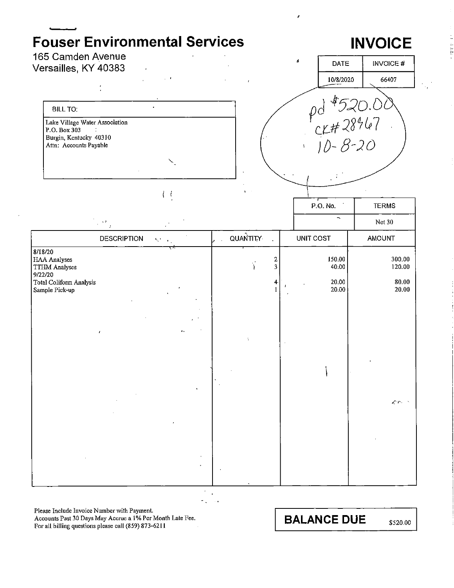$\overline{1}$ 

# **INVOICE**

165 Camden Avenue Versailles, KY 40383

> **BILL TO:** Lake Village Water Association P.O. Box 303  $\mathbf{r}$ Burgin, Kentucky 40310 Attn: Accounts Payable

> > $l - l$



|                                                                                                  |                    |                                                                           |          |                                                                           | P.O. No.                          | <b>TERMS</b>                       |
|--------------------------------------------------------------------------------------------------|--------------------|---------------------------------------------------------------------------|----------|---------------------------------------------------------------------------|-----------------------------------|------------------------------------|
|                                                                                                  | $\mathbb{R}^{M}$ , |                                                                           |          |                                                                           | $\overline{\phantom{a}}$          | Net 30                             |
|                                                                                                  | <b>DESCRIPTION</b> | $\mathcal{H}^{\text{L}}_{\text{c}}$ , $\mathcal{H}^{\text{L}}_{\text{c}}$ | QUANTITY |                                                                           | <b>UNIT COST</b>                  | AMOUNT                             |
| 8/18/20<br>HAA Analyses<br>TTHM Analyses<br>9/22/20<br>Total Coliform Analysis<br>Sample Pick-up |                    | $\mathbf{q}_i$                                                            | Y        | $\boldsymbol{2}$<br>$\overline{\mathbf{3}}$<br>$\ddagger$<br>$\mathbf{1}$ | 150.00<br>40.00<br>20.00<br>20.00 | 300.00<br>120.00<br>80,00<br>20.00 |
|                                                                                                  | $\mathcal{E}$      | $\mathbf{r}$ .                                                            | ÷        |                                                                           |                                   |                                    |
|                                                                                                  |                    | $\lambda$                                                                 |          |                                                                           |                                   | $Z^{\mu} \rho_{\nu} \rightarrow$   |
|                                                                                                  |                    | $\bullet$<br>٠                                                            |          |                                                                           |                                   |                                    |

Please Include Invoice Number with Payment.

Accounts Past 30 Days May Accrue a 1% Per Month Late Fee. For all billing questions please call (859) 873-6211

**BALANCE DUE** 

\$520.00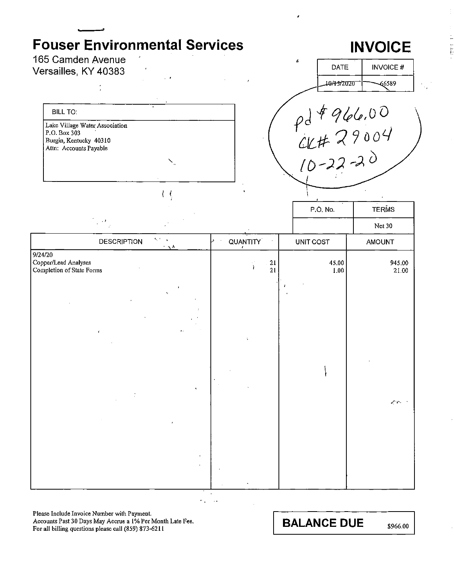165 Camden Avenue Versailles, KY 40383

## BILL TO: **Lake Village Water.Association**  P.O. Box 303 Burgin, Kentucky 40310 **Attn: Accounts Payable**

 $l, l$ 

| á | DATE       | <b>INVOICE#</b> |
|---|------------|-----------------|
|   | 10/15/2020 | 6589            |
|   | 966.00     |                 |

 $\alpha$ lt 29004

 $(0-22-2)$ 

**INVOICE** 

,

|                                                              |                    |                                                                                   |                      | P.O. No.          | <b>TERMS</b>                                                                      |  |
|--------------------------------------------------------------|--------------------|-----------------------------------------------------------------------------------|----------------------|-------------------|-----------------------------------------------------------------------------------|--|
|                                                              | $\mathbb{R}^3$     |                                                                                   |                      |                   | Net 30                                                                            |  |
|                                                              | <b>DESCRIPTION</b> | $\mathbf{S}_\mathrm{c}$ , $\mathbf{S}_\mathrm{c}$<br>$\gamma$ $\propto$ $\lambda$ | QUANTITY             | UNIT COST         | <b>AMOUNT</b>                                                                     |  |
| 9/24/20<br>Copper/Lead Analyses<br>Completion of State Forms |                    |                                                                                   | $\frac{21}{21}$<br>Ÿ | 45.00<br>$1.00\,$ | 945.00<br>$21.00\,$                                                               |  |
|                                                              | ¥                  | ı,<br>γ.                                                                          | ÷,                   | A                 |                                                                                   |  |
|                                                              |                    |                                                                                   |                      |                   | $Z^{\prime}(\mathcal{O}_{\mathcal{O}_{\mathcal{O}_{\mathcal{O}_{\mathcal{O}}}}})$ |  |

÷.  $\sim$ 

**Please Include Invoice Number with Payment. Accounts Past 30 Days May Acciue a 1 % Per Month Late Fee.**  For all billing questions please call (859) 873-6211

**BALANCE DUE** \$966.00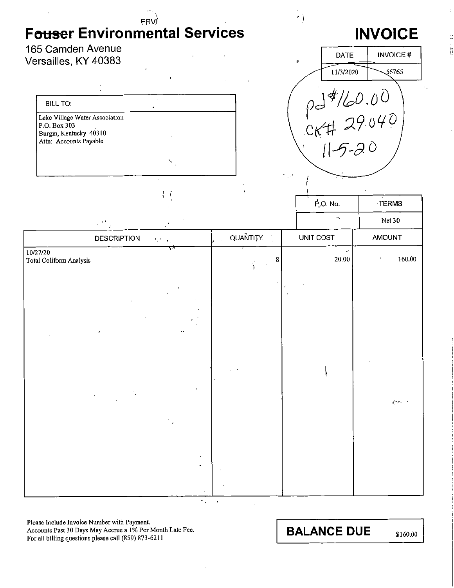165 Camden Avenue Versailles, KY 40383

| <b>BILL TO:</b>                                                                                    |  |
|----------------------------------------------------------------------------------------------------|--|
| Lake Village Water Association<br>P.O. Box 303<br>Burgin, Kentucky 40310<br>Attn: Accounts Payable |  |
|                                                                                                    |  |

 $\left\{ -i\right\}$ 



Ĕ

 $\cdot$  )

|                                     |                                              | $P_{\rm v}$ O. No. $\cdot$ | $\cdot$ TERMS            |                                          |
|-------------------------------------|----------------------------------------------|----------------------------|--------------------------|------------------------------------------|
|                                     | $\mathbb{R}^{D}$ ,                           |                            | $\overline{\phantom{0}}$ | Net $30$                                 |
|                                     | <b>DESCRIPTION</b><br>$\mathbf{S}^{(k)}$ and | QUANTITY<br>$\bar{z}$      | UNIT COST                | AMOUNT                                   |
| 10/27/20<br>Total Coliform Analysis | ↽                                            | 8<br>J.                    | $\omega$ .<br>20.00      | 160,00                                   |
|                                     | $\boldsymbol{f}$                             |                            |                          |                                          |
|                                     |                                              |                            |                          | $\mathcal{L}^{\ast}\mathcal{L}^{\ast}$ . |
|                                     |                                              |                            |                          |                                          |

Please Include Invoice Number with Payment. Accounts Past 30 Days May Accrue a 1% Per Month Late Fee. For all billing questions please call (859) 873-6211

**BALANCE DUE** 

\$160.00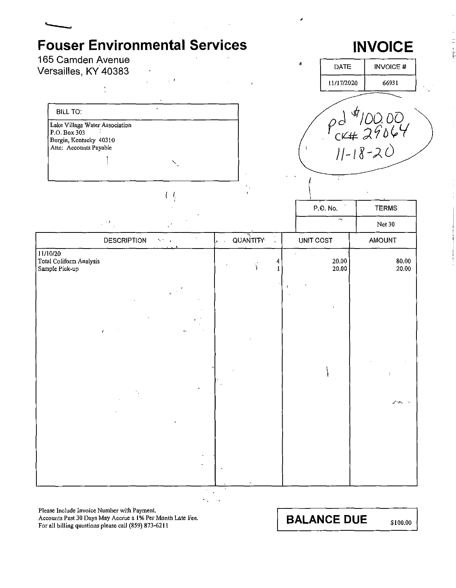# **INVOICE**



Please Include Invoice Number with Payment.

Accounts Past 30 Days May Accrue a 1% Per Month Late Fee. For all billing questions please call (859) 873-6211

**BALANCE DUE**